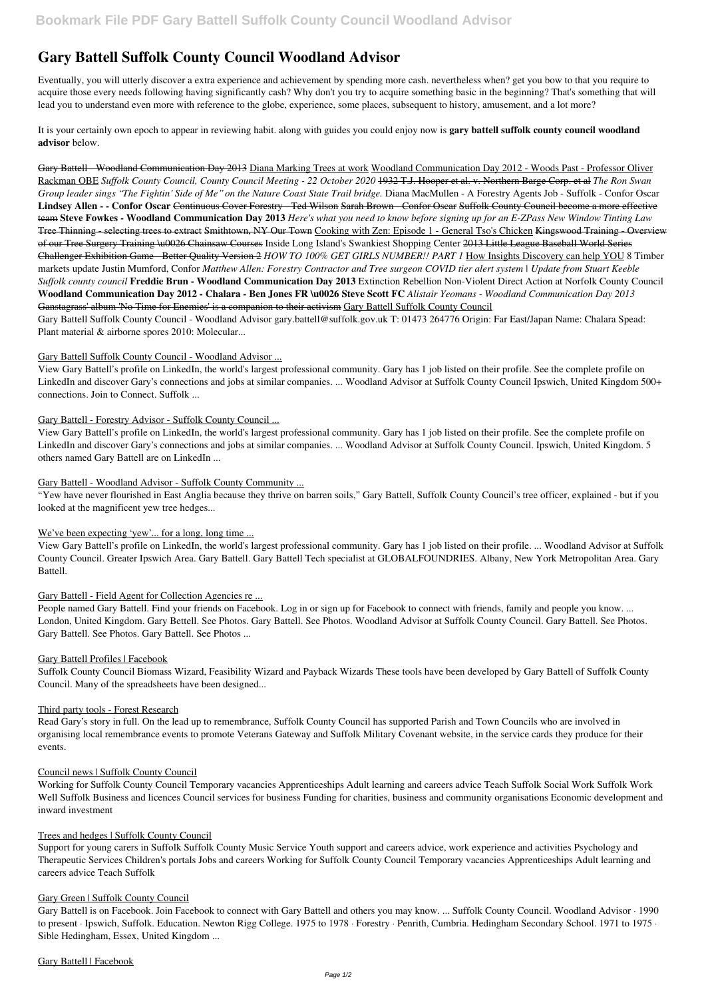# **Gary Battell Suffolk County Council Woodland Advisor**

Eventually, you will utterly discover a extra experience and achievement by spending more cash. nevertheless when? get you bow to that you require to acquire those every needs following having significantly cash? Why don't you try to acquire something basic in the beginning? That's something that will lead you to understand even more with reference to the globe, experience, some places, subsequent to history, amusement, and a lot more?

It is your certainly own epoch to appear in reviewing habit. along with guides you could enjoy now is **gary battell suffolk county council woodland advisor** below.

Gary Battell - Woodland Communication Day 2013 Diana Marking Trees at work Woodland Communication Day 2012 - Woods Past - Professor Oliver Rackman OBE *Suffolk County Council, County Council Meeting - 22 October 2020* 1932 T.J. Hooper et al. v. Northern Barge Corp. et al *The Ron Swan Group leader sings "The Fightin' Side of Me" on the Nature Coast State Trail bridge.* Diana MacMullen - A Forestry Agents Job - Suffolk - Confor Oscar **Lindsey Allen - - Confor Oscar** Continuous Cover Forestry - Ted Wilson Sarah Brown - Confor Oscar Suffolk County Council become a more effective team **Steve Fowkes - Woodland Communication Day 2013** *Here's what you need to know before signing up for an E-ZPass New Window Tinting Law* Tree Thinning - selecting trees to extract Smithtown, NY Our Town Cooking with Zen: Episode 1 - General Tso's Chicken Kingswood Training - Overview of our Tree Surgery Training \u0026 Chainsaw Courses Inside Long Island's Swankiest Shopping Center 2013 Little League Baseball World Series Challenger Exhibition Game - Better Quality Version 2 *HOW TO 100% GET GIRLS NUMBER!! PART 1* How Insights Discovery can help YOU 8 Timber markets update Justin Mumford, Confor *Matthew Allen: Forestry Contractor and Tree surgeon COVID tier alert system | Update from Stuart Keeble Suffolk county council* **Freddie Brun - Woodland Communication Day 2013** Extinction Rebellion Non-Violent Direct Action at Norfolk County Council **Woodland Communication Day 2012 - Chalara - Ben Jones FR \u0026 Steve Scott FC** *Alistair Yeomans - Woodland Communication Day 2013* Ganstagrass' album 'No Time for Enemies' is a companion to their activism Gary Battell Suffolk County Council

"Yew have never flourished in East Anglia because they thrive on barren soils," Gary Battell, Suffolk County Council's tree officer, explained - but if you looked at the magnificent yew tree hedges...

## We've been expecting 'yew'... for a long, long time ...

Gary Battell Suffolk County Council - Woodland Advisor gary.battell@suffolk.gov.uk T: 01473 264776 Origin: Far East/Japan Name: Chalara Spead: Plant material & airborne spores 2010: Molecular...

# Gary Battell Suffolk County Council - Woodland Advisor ...

View Gary Battell's profile on LinkedIn, the world's largest professional community. Gary has 1 job listed on their profile. See the complete profile on LinkedIn and discover Gary's connections and jobs at similar companies. ... Woodland Advisor at Suffolk County Council Ipswich, United Kingdom 500+ connections. Join to Connect. Suffolk ...

# Gary Battell - Forestry Advisor - Suffolk County Council ...

View Gary Battell's profile on LinkedIn, the world's largest professional community. Gary has 1 job listed on their profile. See the complete profile on LinkedIn and discover Gary's connections and jobs at similar companies. ... Woodland Advisor at Suffolk County Council. Ipswich, United Kingdom. 5 others named Gary Battell are on LinkedIn ...

## Gary Battell - Woodland Advisor - Suffolk County Community ...

View Gary Battell's profile on LinkedIn, the world's largest professional community. Gary has 1 job listed on their profile. ... Woodland Advisor at Suffolk County Council. Greater Ipswich Area. Gary Battell. Gary Battell Tech specialist at GLOBALFOUNDRIES. Albany, New York Metropolitan Area. Gary Battell.

## Gary Battell - Field Agent for Collection Agencies re ...

People named Gary Battell. Find your friends on Facebook. Log in or sign up for Facebook to connect with friends, family and people you know. ... London, United Kingdom. Gary Bettell. See Photos. Gary Battell. See Photos. Woodland Advisor at Suffolk County Council. Gary Battell. See Photos. Gary Battell. See Photos. Gary Battell. See Photos ...

## Gary Battell Profiles | Facebook

Suffolk County Council Biomass Wizard, Feasibility Wizard and Payback Wizards These tools have been developed by Gary Battell of Suffolk County Council. Many of the spreadsheets have been designed...

## Third party tools - Forest Research

Read Gary's story in full. On the lead up to remembrance, Suffolk County Council has supported Parish and Town Councils who are involved in organising local remembrance events to promote Veterans Gateway and Suffolk Military Covenant website, in the service cards they produce for their events.

## Council news | Suffolk County Council

Working for Suffolk County Council Temporary vacancies Apprenticeships Adult learning and careers advice Teach Suffolk Social Work Suffolk Work Well Suffolk Business and licences Council services for business Funding for charities, business and community organisations Economic development and inward investment

### Trees and hedges | Suffolk County Council

Support for young carers in Suffolk Suffolk County Music Service Youth support and careers advice, work experience and activities Psychology and Therapeutic Services Children's portals Jobs and careers Working for Suffolk County Council Temporary vacancies Apprenticeships Adult learning and careers advice Teach Suffolk

#### Gary Green | Suffolk County Council

Gary Battell is on Facebook. Join Facebook to connect with Gary Battell and others you may know. ... Suffolk County Council. Woodland Advisor · 1990 to present · Ipswich, Suffolk. Education. Newton Rigg College. 1975 to 1978 · Forestry · Penrith, Cumbria. Hedingham Secondary School. 1971 to 1975 · Sible Hedingham, Essex, United Kingdom ...

#### **Gary Battell | Facebook**